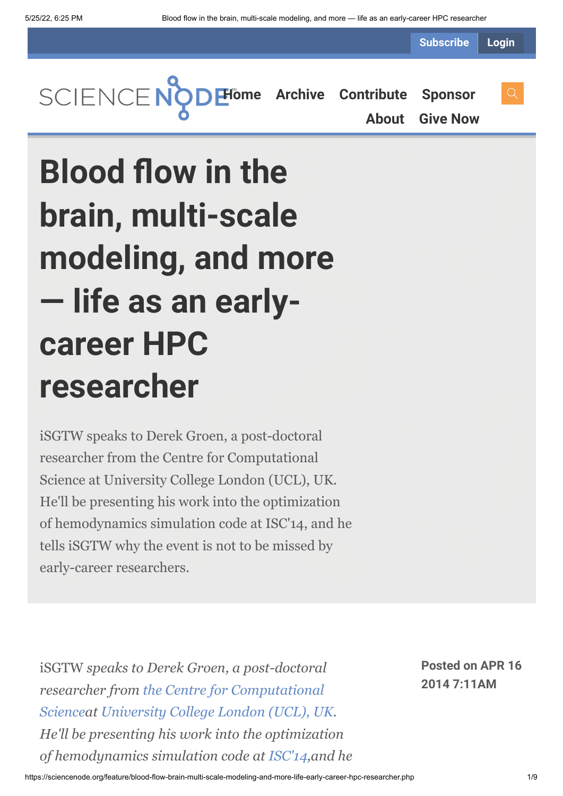**Subscribe Login**



**[About](https://sciencenode.org/about/index.php) [Give Now](https://sciencenode.org/donate/index.php)**

# **Blood flow in the brain, multi-scale modeling, and more — life as an earlycareer HPC researcher**

iSGTW speaks to Derek Groen, a post-doctoral researcher from the Centre for Computational Science at University College London (UCL), UK. He'll be presenting his work into the optimization of hemodynamics simulation code at ISC'14, and he tells iSGTW why the event is not to be missed by early-career researchers.

iSGTW *speaks to Derek Groen, a post-doctoral researcher from the Centre for Computational Scienceat [University College London \(UCL\), U](http://ccs.chem.ucl.ac.uk/)[K.](http://www.ucl.ac.uk/) He'll be presenting his work into the optimization of hemodynamics simulation code at [ISC'14,](http://www.isc-events.com/ct.php?id=72.)and he* **Posted on APR 16 2014 7:11AM**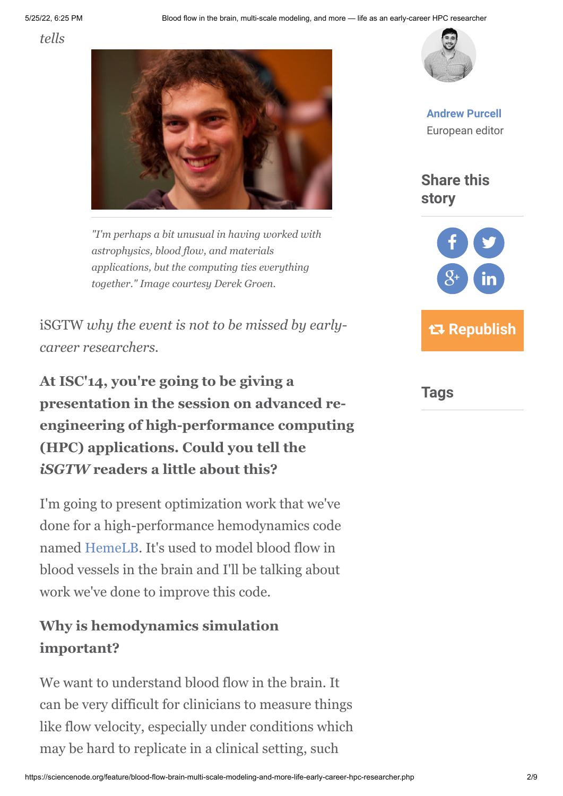*tells*



*"I'm perhaps a bit unusual in having worked with astrophysics, blood flow, and materials applications, but the computing ties everything together." Image courtesy Derek Groen.*

iSGTW *why the event is not to be missed by earlycareer researchers.*

**At ISC'14, you're going to be giving a presentation in the session on advanced reengineering of high-performance computing (HPC) applications. Could you tell the** *iSGTW* **readers a little about this?**

I'm going to present optimization work that we've done for a high-performance hemodynamics code named [HemeLB.](file:///C:/Users/apurcell/Downloads/Multiscale%20Applications%20on%20European%20e-Infrastructures) It's used to model blood flow in blood vessels in the brain and I'll be talking about work we've done to improve this code.

#### **Why is hemodynamics simulation important?**

We want to understand blood flow in the brain. It can be very difficult for clinicians to measure things like flow velocity, especially under conditions which may be hard to replicate in a clinical setting, such



**[Andrew Purcell](https://sciencenode.org/author/andrew-purcell.php)** European editor

**Share this story**



**Tags**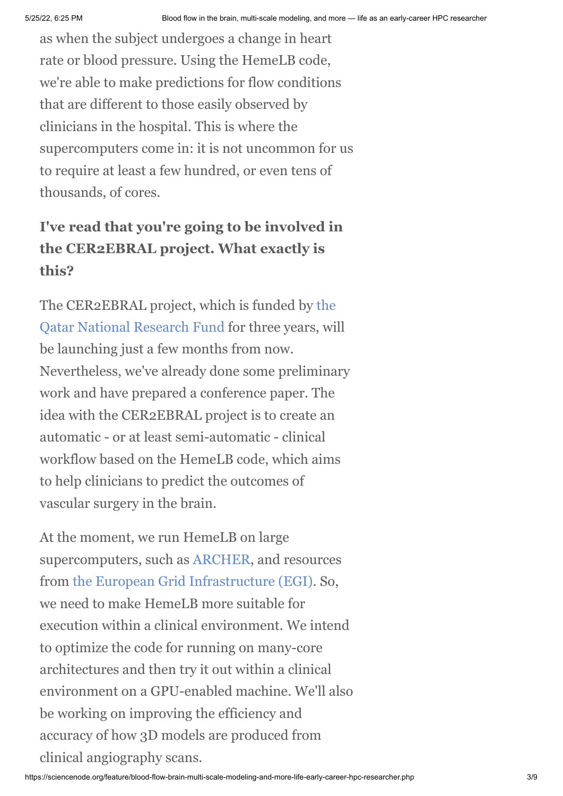as when the subject undergoes a change in heart rate or blood pressure. Using the HemeLB code, we're able to make predictions for flow conditions that are different to those easily observed by clinicians in the hospital. This is where the supercomputers come in: it is not uncommon for us to require at least a few hundred, or even tens of thousands, of cores.

#### **I've read that you're going to be involved in the CER2EBRAL project. What exactly is this?**

[The CER2EBRAL project, which is funded by the](http://www.qnrf.org/) Qatar National Research Fund for three years, will be launching just a few months from now. Nevertheless, we've already done some preliminary work and have prepared a conference paper. The idea with the CER2EBRAL project is to create an automatic - or at least semi-automatic - clinical workflow based on the HemeLB code, which aims to help clinicians to predict the outcomes of vascular surgery in the brain.

At the moment, we run HemeLB on large supercomputers, such as [ARCHER,](http://www.archer.ac.uk/training/courses/introandmpi.php) and resources from [the European Grid Infrastructure \(EGI\).](http://www.egi.eu/) So, we need to make HemeLB more suitable for execution within a clinical environment. We intend to optimize the code for running on many-core architectures and then try it out within a clinical environment on a GPU-enabled machine. We'll also be working on improving the efficiency and accuracy of how 3D models are produced from clinical angiography scans.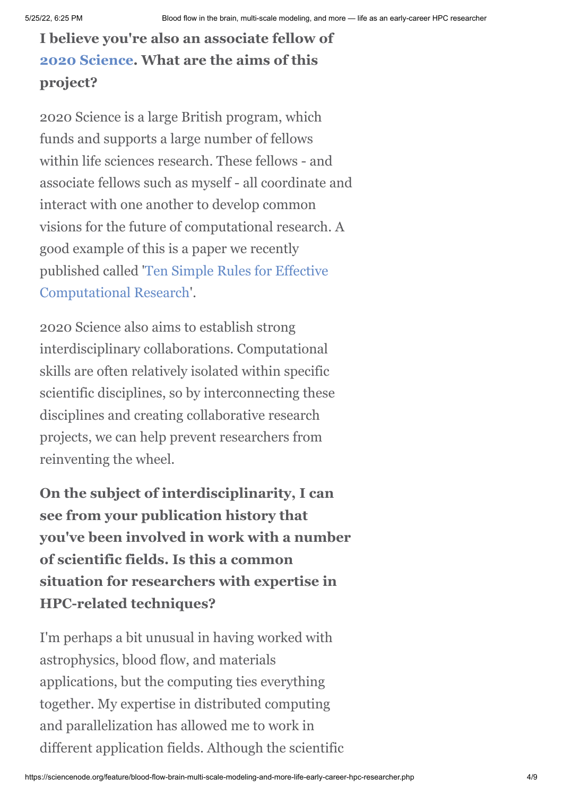### **I believe you're also an associate fellow of [2020 Science](http://www.2020science.net/). What are the aims of this project?**

2020 Science is a large British program, which funds and supports a large number of fellows within life sciences research. These fellows - and associate fellows such as myself - all coordinate and interact with one another to develop common visions for the future of computational research. A good example of this is a paper we recently [published called 'Ten Simple Rules for Effective](http://people.maths.ox.ac.uk/yatesc/10SimpleRules.pdf) Computational Research'.

2020 Science also aims to establish strong interdisciplinary collaborations. Computational skills are often relatively isolated within specific scientific disciplines, so by interconnecting these disciplines and creating collaborative research projects, we can help prevent researchers from reinventing the wheel.

**On the subject of interdisciplinarity, I can see from your publication history that you've been involved in work with a number of scientific fields. Is this a common situation for researchers with expertise in HPC-related techniques?**

I'm perhaps a bit unusual in having worked with astrophysics, blood flow, and materials applications, but the computing ties everything together. My expertise in distributed computing and parallelization has allowed me to work in different application fields. Although the scientific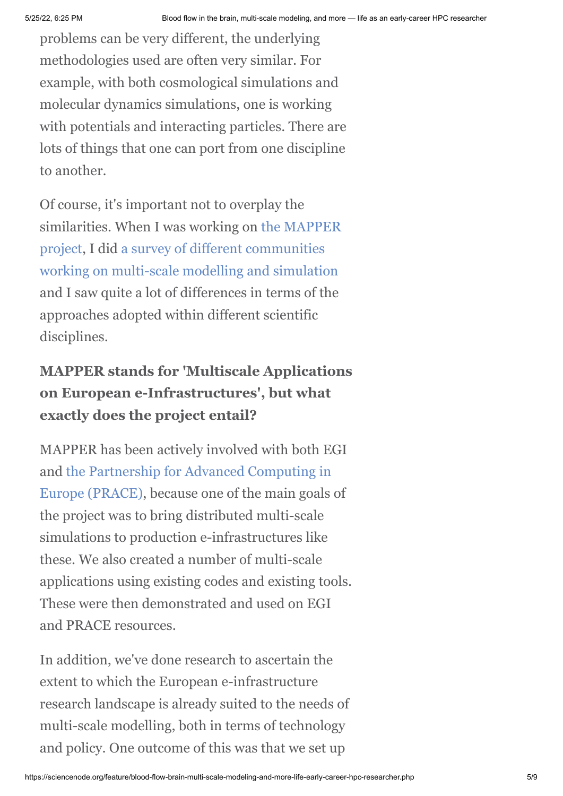problems can be very different, the underlying methodologies used are often very similar. For example, with both cosmological simulations and molecular dynamics simulations, one is working with potentials and interacting particles. There are lots of things that one can port from one discipline to another.

Of course, it's important not to overplay the [similarities. When I was working on the MAPPER](http://www.mapper-project.eu/web/guest) project, I did a survey of different communities [working on multi-scale modelling and simulation](http://dx.doi.org/10.1109/MCSE.2013.47) and I saw quite a lot of differences in terms of the approaches adopted within different scientific disciplines.

#### **MAPPER stands for 'Multiscale Applications on European e-Infrastructures', but what exactly does the project entail?**

MAPPER has been actively involved with both EGI [and the Partnership for Advanced Computing in](http://www.prace-ri.eu/?lang=en) Europe (PRACE), because one of the main goals of the project was to bring distributed multi-scale simulations to production e-infrastructures like these. We also created a number of multi-scale applications using existing codes and existing tools. These were then demonstrated and used on EGI and PRACE resources.

In addition, we've done research to ascertain the extent to which the European e-infrastructure research landscape is already suited to the needs of multi-scale modelling, both in terms of technology and policy. One outcome of this was that we set up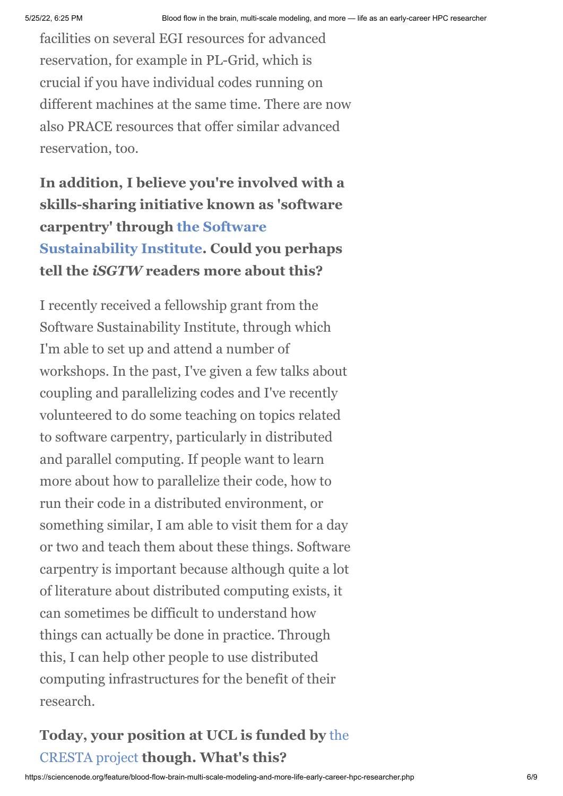facilities on several EGI resources for advanced reservation, for example in PL-Grid, which is crucial if you have individual codes running on different machines at the same time. There are now also PRACE resources that offer similar advanced reservation, too.

**In addition, I believe you're involved with a skills-sharing initiative known as 'software carpentry' through the Software [Sustainability Institute. Could yo](http://www.software.ac.uk/)u perhaps tell the** *iSGTW* **readers more about this?**

I recently received a fellowship grant from the Software Sustainability Institute, through which I'm able to set up and attend a number of workshops. In the past, I've given a few talks about coupling and parallelizing codes and I've recently volunteered to do some teaching on topics related to software carpentry, particularly in distributed and parallel computing. If people want to learn more about how to parallelize their code, how to run their code in a distributed environment, or something similar, I am able to visit them for a day or two and teach them about these things. Software carpentry is important because although quite a lot of literature about distributed computing exists, it can sometimes be difficult to understand how things can actually be done in practice. Through this, I can help other people to use distributed computing infrastructures for the benefit of their research.

#### **[Today, your position at UCL is funded by](http://cresta-project.eu/)** the CRESTA project **though. What's this?**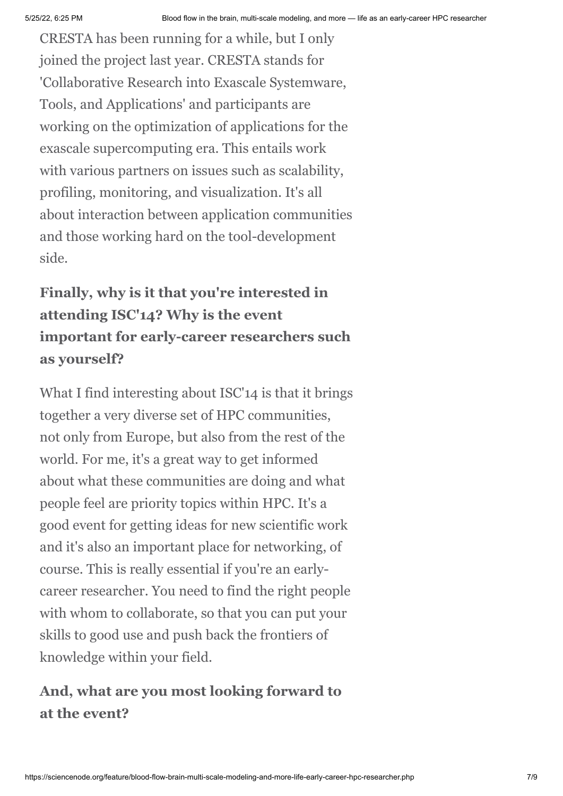CRESTA has been running for a while, but I only joined the project last year. CRESTA stands for 'Collaborative Research into Exascale Systemware, Tools, and Applications' and participants are working on the optimization of applications for the exascale supercomputing era. This entails work with various partners on issues such as scalability, profiling, monitoring, and visualization. It's all about interaction between application communities and those working hard on the tool-development side.

## **Finally, why is it that you're interested in attending ISC'14? Why is the event important for early-career researchers such as yourself?**

What I find interesting about ISC'14 is that it brings together a very diverse set of HPC communities, not only from Europe, but also from the rest of the world. For me, it's a great way to get informed about what these communities are doing and what people feel are priority topics within HPC. It's a good event for getting ideas for new scientific work and it's also an important place for networking, of course. This is really essential if you're an earlycareer researcher. You need to find the right people with whom to collaborate, so that you can put your skills to good use and push back the frontiers of knowledge within your field.

#### **And, what are you most looking forward to at the event?**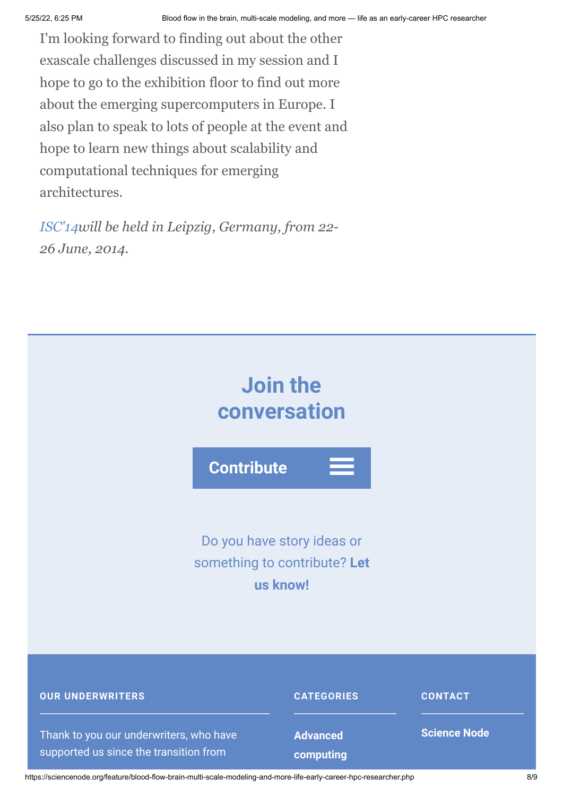I'm looking forward to finding out about the other exascale challenges discussed in my session and I hope to go to the exhibition floor to find out more about the emerging supercomputers in Europe. I also plan to speak to lots of people at the event and hope to learn new things about scalability and computational techniques for emerging architectures.

*[ISC'14w](http://www.isc-events.com/ct.php?id=72.)ill be held in Leipzig, Germany, from 22- 26 June, 2014.*